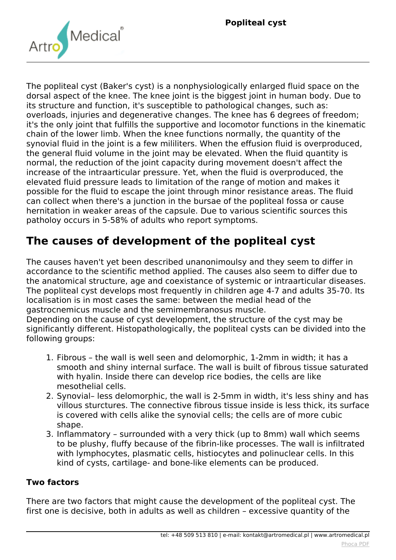

*The popliteal cyst (Baker's cyst) is a nonphysiologically enlarged fluid space on the dorsal aspect of the knee. The knee joint is the biggest joint in human body. Due to its structure and function, it's susceptible to pathological changes, such as: overloads, injuries and degenerative changes. The knee has 6 degrees of freedom; it's the only joint that fulfills the supportive and locomotor functions in the kinematic chain of the lower limb. When the knee functions normally, the quantity of the synovial fluid in the joint is a few mililiters. When the effusion fluid is overproduced, the general fluid volume in the joint may be elevated. When the fluid quantity is normal, the reduction of the joint capacity during movement doesn't affect the increase of the intraarticular pressure. Yet, when the fluid is overproduced, the elevated fluid pressure leads to limitation of the range of motion and makes it possible for the fluid to escape the joint through minor resistance areas. The fluid can collect when there's a junction in the bursae of the popliteal fossa or cause hernitation in weaker areas of the capsule. Due to various scientific sources this patholoy occurs in 5-58% of adults who report symptoms.*

## **The causes of development of the popliteal cyst**

*The causes haven't yet been described unanonimoulsy and they seem to differ in accordance to the scientific method applied. The causes also seem to differ due to the anatomical structure, age and coexistance of systemic or intraarticular diseases. The popliteal cyst develops most frequently in children age 4-7 and adults 35-70. Its localisation is in most cases the same: between the medial head of the gastrocnemicus muscle and the semimembranosus muscle.*

*Depending on the cause of cyst development, the structure of the cyst may be significantly different. Histopathologically, the popliteal cysts can be divided into the following groups:*

- *1. Fibrous the wall is well seen and delomorphic, 1-2mm in width; it has a smooth and shiny internal surface. The wall is built of fibrous tissue saturated with hyalin. Inside there can develop rice bodies, the cells are like mesothelial cells.*
- *2. Synovial– less delomorphic, the wall is 2-5mm in width, it's less shiny and has villous sturctures. The connective fibrous tissue inside is less thick, its surface is covered with cells alike the synovial cells; the cells are of more cubic shape.*
- *3. Inflammatory surrounded with a very thick (up to 8mm) wall which seems to be plushy, fluffy because of the fibrin-like processes. The wall is infiltrated with lymphocytes, plasmatic cells, histiocytes and polinuclear cells. In this kind of cysts, cartilage- and bone-like elements can be produced.*

## **Two factors**

*There are two factors that might cause the development of the popliteal cyst. The first one is decisive, both in adults as well as children – excessive quantity of the*